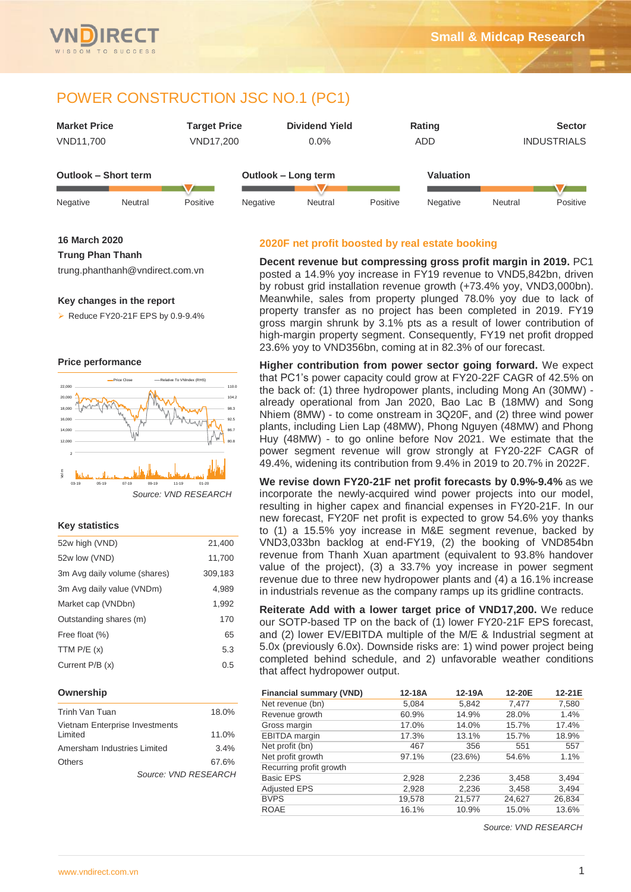

| <b>Market Price</b>  |         | <b>Target Price</b> |          | <b>Dividend Yield</b><br>Rating |          |                  | <b>Sector</b> |            |  |                    |
|----------------------|---------|---------------------|----------|---------------------------------|----------|------------------|---------------|------------|--|--------------------|
| VND11,700            |         | VND17,200           |          | $0.0\%$                         |          |                  |               | <b>ADD</b> |  | <b>INDUSTRIALS</b> |
|                      |         |                     |          |                                 |          |                  |               |            |  |                    |
| Outlook - Short term |         |                     |          | Outlook - Long term             |          | <b>Valuation</b> |               |            |  |                    |
|                      |         |                     |          |                                 |          |                  |               |            |  |                    |
| Negative             | Neutral | Positive            | Negative | Neutral                         | Positive | Negative         | Neutral       | Positive   |  |                    |

#### **16 March 2020**

## **Trung Phan Thanh**

trung.phanthanh@vndirect.com.vn

#### **Key changes in the report**

 $\triangleright$  Reduce FY20-21F EPS by 0.9-9.4%





## **Key statistics**

| 52w high (VND)               | 21,400  |
|------------------------------|---------|
| 52w low (VND)                | 11,700  |
| 3m Avg daily volume (shares) | 309,183 |
| 3m Avg daily value (VNDm)    | 4,989   |
| Market cap (VNDbn)           | 1,992   |
| Outstanding shares (m)       | 170     |
| Free float (%)               | 65      |
| TTM $P/E(x)$                 | 5.3     |
| Current P/B (x)              | 0.5     |

#### **Ownership**

| Trinh Van Tuan                 | 18.0%                |
|--------------------------------|----------------------|
| Vietnam Enterprise Investments |                      |
| Limited                        | 11.0%                |
| Amersham Industries Limited    | 3.4%                 |
| Others                         | 67.6%                |
|                                | Source: VND RESEARCH |

## **2020F net profit boosted by real estate booking**

**Decent revenue but compressing gross profit margin in 2019.** PC1 posted a 14.9% yoy increase in FY19 revenue to VND5,842bn, driven by robust grid installation revenue growth (+73.4% yoy, VND3,000bn). Meanwhile, sales from property plunged 78.0% yoy due to lack of property transfer as no project has been completed in 2019. FY19 gross margin shrunk by 3.1% pts as a result of lower contribution of high-margin property segment. Consequently, FY19 net profit dropped 23.6% yoy to VND356bn, coming at in 82.3% of our forecast.

**Higher contribution from power sector going forward.** We expect that PC1's power capacity could grow at FY20-22F CAGR of 42.5% on the back of: (1) three hydropower plants, including Mong An (30MW) already operational from Jan 2020, Bao Lac B (18MW) and Song Nhiem (8MW) - to come onstream in 3Q20F, and (2) three wind power plants, including Lien Lap (48MW), Phong Nguyen (48MW) and Phong Huy (48MW) - to go online before Nov 2021. We estimate that the power segment revenue will grow strongly at FY20-22F CAGR of 49.4%, widening its contribution from 9.4% in 2019 to 20.7% in 2022F.

**We revise down FY20-21F net profit forecasts by 0.9%-9.4%** as we incorporate the newly-acquired wind power projects into our model, resulting in higher capex and financial expenses in FY20-21F. In our new forecast, FY20F net profit is expected to grow 54.6% yoy thanks to (1) a 15.5% yoy increase in M&E segment revenue, backed by VND3,033bn backlog at end-FY19, (2) the booking of VND854bn revenue from Thanh Xuan apartment (equivalent to 93.8% handover value of the project), (3) a 33.7% yoy increase in power segment revenue due to three new hydropower plants and (4) a 16.1% increase in industrials revenue as the company ramps up its gridline contracts.

**Reiterate Add with a lower target price of VND17,200.** We reduce our SOTP-based TP on the back of (1) lower FY20-21F EPS forecast, and (2) lower EV/EBITDA multiple of the M/E & Industrial segment at 5.0x (previously 6.0x). Downside risks are: 1) wind power project being completed behind schedule, and 2) unfavorable weather conditions that affect hydropower output.

| <b>Financial summary (VND)</b> | 12-18A | 12-19A  | 12-20E | 12-21E |
|--------------------------------|--------|---------|--------|--------|
| Net revenue (bn)               | 5,084  | 5,842   | 7.477  | 7,580  |
| Revenue growth                 | 60.9%  | 14.9%   | 28.0%  | 1.4%   |
| Gross margin                   | 17.0%  | 14.0%   | 15.7%  | 17.4%  |
| EBITDA margin                  | 17.3%  | 13.1%   | 15.7%  | 18.9%  |
| Net profit (bn)                | 467    | 356     | 551    | 557    |
| Net profit growth              | 97.1%  | (23.6%) | 54.6%  | 1.1%   |
| Recurring profit growth        |        |         |        |        |
| <b>Basic EPS</b>               | 2,928  | 2,236   | 3,458  | 3,494  |
| <b>Adjusted EPS</b>            | 2,928  | 2,236   | 3,458  | 3,494  |
| <b>BVPS</b>                    | 19,578 | 21,577  | 24,627 | 26,834 |
| <b>ROAE</b>                    | 16.1%  | 10.9%   | 15.0%  | 13.6%  |

*Source: VND RESEARCH*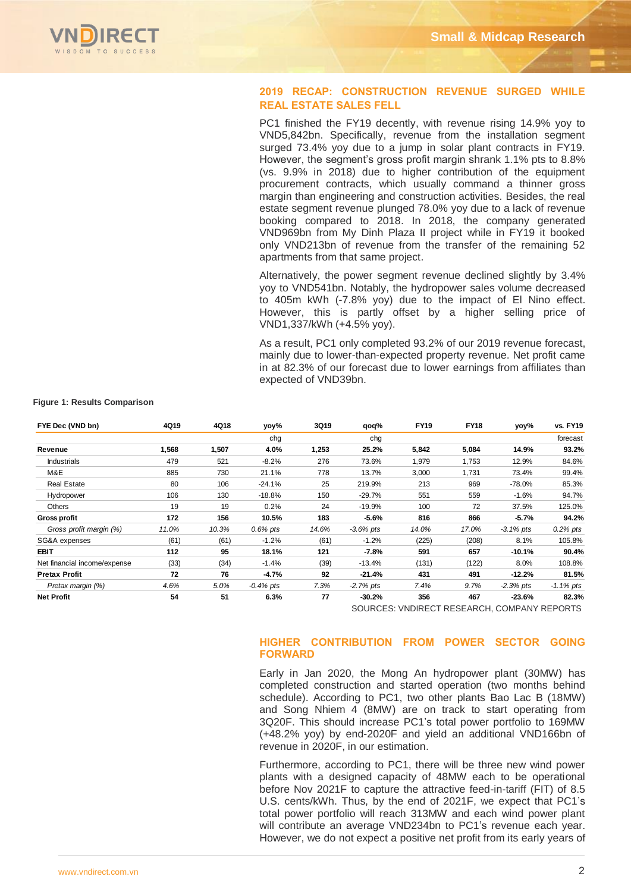

# **2019 RECAP: CONSTRUCTION REVENUE SURGED WHILE REAL ESTATE SALES FELL**

PC1 finished the FY19 decently, with revenue rising 14.9% yoy to VND5,842bn. Specifically, revenue from the installation segment surged 73.4% yoy due to a jump in solar plant contracts in FY19. However, the segment's gross profit margin shrank 1.1% pts to 8.8% (vs. 9.9% in 2018) due to higher contribution of the equipment procurement contracts, which usually command a thinner gross margin than engineering and construction activities. Besides, the real estate segment revenue plunged 78.0% yoy due to a lack of revenue booking compared to 2018. In 2018, the company generated VND969bn from My Dinh Plaza II project while in FY19 it booked only VND213bn of revenue from the transfer of the remaining 52 apartments from that same project.

Alternatively, the power segment revenue declined slightly by 3.4% yoy to VND541bn. Notably, the hydropower sales volume decreased to 405m kWh (-7.8% yoy) due to the impact of El Nino effect. However, this is partly offset by a higher selling price of VND1,337/kWh (+4.5% yoy).

As a result, PC1 only completed 93.2% of our 2019 revenue forecast, mainly due to lower-than-expected property revenue. Net profit came in at 82.3% of our forecast due to lower earnings from affiliates than expected of VND39bn.

| FYE Dec (VND bn)             | 4Q19  | 4Q18  | yoy%         | 3Q19  | qoq%        | <b>FY19</b> | <b>FY18</b> | yoy%         | <b>vs. FY19</b> |
|------------------------------|-------|-------|--------------|-------|-------------|-------------|-------------|--------------|-----------------|
|                              |       |       | chq          |       | chq         |             |             |              | forecast        |
| Revenue                      | 1.568 | 1,507 | 4.0%         | 1,253 | 25.2%       | 5,842       | 5,084       | 14.9%        | 93.2%           |
| <b>Industrials</b>           | 479   | 521   | $-8.2%$      | 276   | 73.6%       | 1,979       | 1,753       | 12.9%        | 84.6%           |
| M&E                          | 885   | 730   | 21.1%        | 778   | 13.7%       | 3,000       | 1,731       | 73.4%        | 99.4%           |
| <b>Real Estate</b>           | 80    | 106   | $-24.1%$     | 25    | 219.9%      | 213         | 969         | -78.0%       | 85.3%           |
| Hydropower                   | 106   | 130   | $-18.8%$     | 150   | $-29.7%$    | 551         | 559         | $-1.6%$      | 94.7%           |
| <b>Others</b>                | 19    | 19    | 0.2%         | 24    | $-19.9%$    | 100         | 72          | 37.5%        | 125.0%          |
| <b>Gross profit</b>          | 172   | 156   | 10.5%        | 183   | $-5.6%$     | 816         | 866         | $-5.7%$      | 94.2%           |
| Gross profit margin (%)      | 11.0% | 10.3% | $0.6\%$ pts  | 14.6% | $-3.6%$ pts | 14.0%       | 17.0%       | $-3.1\%$ pts | $0.2\%$ pts     |
| SG&A expenses                | (61)  | (61)  | $-1.2%$      | (61)  | $-1.2%$     | (225)       | (208)       | 8.1%         | 105.8%          |
| <b>EBIT</b>                  | 112   | 95    | 18.1%        | 121   | $-7.8%$     | 591         | 657         | $-10.1%$     | 90.4%           |
| Net financial income/expense | (33)  | (34)  | $-1.4%$      | (39)  | $-13.4%$    | (131)       | (122)       | 8.0%         | 108.8%          |
| <b>Pretax Profit</b>         | 72    | 76    | $-4.7%$      | 92    | $-21.4%$    | 431         | 491         | $-12.2%$     | 81.5%           |
| Pretax margin (%)            | 4.6%  | 5.0%  | $-0.4\%$ pts | 7.3%  | $-2.7%$ pts | 7.4%        | 9.7%        | $-2.3%$ pts  | $-1.1\%$ pts    |
| <b>Net Profit</b>            | 54    | 51    | 6.3%         | 77    | $-30.2%$    | 356         | 467         | $-23.6%$     | 82.3%           |

**Figure 1: Results Comparison**

SOURCES: VNDIRECT RESEARCH, COMPANY REPORTS

# **HIGHER CONTRIBUTION FROM POWER SECTOR GOING FORWARD**

Early in Jan 2020, the Mong An hydropower plant (30MW) has completed construction and started operation (two months behind schedule). According to PC1, two other plants Bao Lac B (18MW) and Song Nhiem 4 (8MW) are on track to start operating from 3Q20F. This should increase PC1's total power portfolio to 169MW (+48.2% yoy) by end-2020F and yield an additional VND166bn of revenue in 2020F, in our estimation.

Furthermore, according to PC1, there will be three new wind power plants with a designed capacity of 48MW each to be operational before Nov 2021F to capture the attractive feed-in-tariff (FIT) of 8.5 U.S. cents/kWh. Thus, by the end of 2021F, we expect that PC1's total power portfolio will reach 313MW and each wind power plant will contribute an average VND234bn to PC1's revenue each year. However, we do not expect a positive net profit from its early years of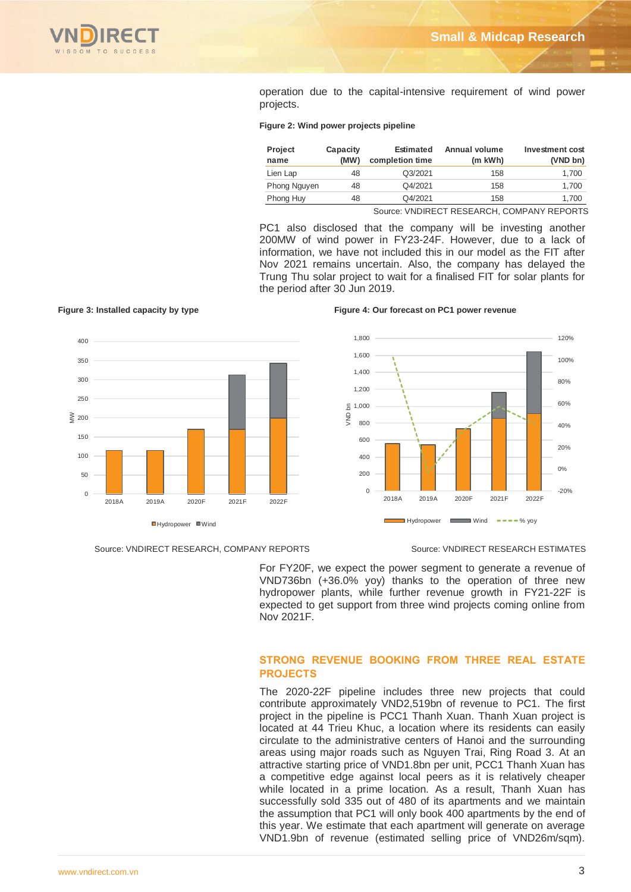

operation due to the capital-intensive requirement of wind power projects.

## **Figure 2: Wind power projects pipeline**

| <b>Project</b><br>name | Capacity<br>(MW) | <b>Estimated</b><br>completion time | Annual volume<br>(m kWh) | Investment cost<br>(VND bn) |
|------------------------|------------------|-------------------------------------|--------------------------|-----------------------------|
| Lien Lap               | 48               | Q3/2021                             | 158                      | 1.700                       |
| Phong Nguyen           | 48               | Q4/2021                             | 158                      | 1.700                       |
| Phong Huy              | 48               | Q4/2021                             | 158                      | 1.700                       |
|                        |                  | $\sim$                              |                          | _ _ _ _ _                   |

Source: VNDIRECT RESEARCH, COMPANY REPORTS

PC1 also disclosed that the company will be investing another 200MW of wind power in FY23-24F. However, due to a lack of information, we have not included this in our model as the FIT after Nov 2021 remains uncertain. Also, the company has delayed the Trung Thu solar project to wait for a finalised FIT for solar plants for the period after 30 Jun 2019.



#### Source: VNDIRECT RESEARCH, COMPANY REPORTS Source: VNDIRECT RESEARCH ESTIMATES

## **Figure 3: Installed capacity by type Figure 4: Our forecast on PC1 power revenue**



For FY20F, we expect the power segment to generate a revenue of VND736bn (+36.0% yoy) thanks to the operation of three new hydropower plants, while further revenue growth in FY21-22F is expected to get support from three wind projects coming online from Nov 2021F.

# **STRONG REVENUE BOOKING FROM THREE REAL ESTATE PROJECTS**

The 2020-22F pipeline includes three new projects that could contribute approximately VND2,519bn of revenue to PC1. The first project in the pipeline is PCC1 Thanh Xuan. Thanh Xuan project is located at 44 Trieu Khuc, a location where its residents can easily circulate to the administrative centers of Hanoi and the surrounding areas using major roads such as Nguyen Trai, Ring Road 3. At an attractive starting price of VND1.8bn per unit, PCC1 Thanh Xuan has a competitive edge against local peers as it is relatively cheaper while located in a prime location. As a result, Thanh Xuan has successfully sold 335 out of 480 of its apartments and we maintain the assumption that PC1 will only book 400 apartments by the end of this year. We estimate that each apartment will generate on average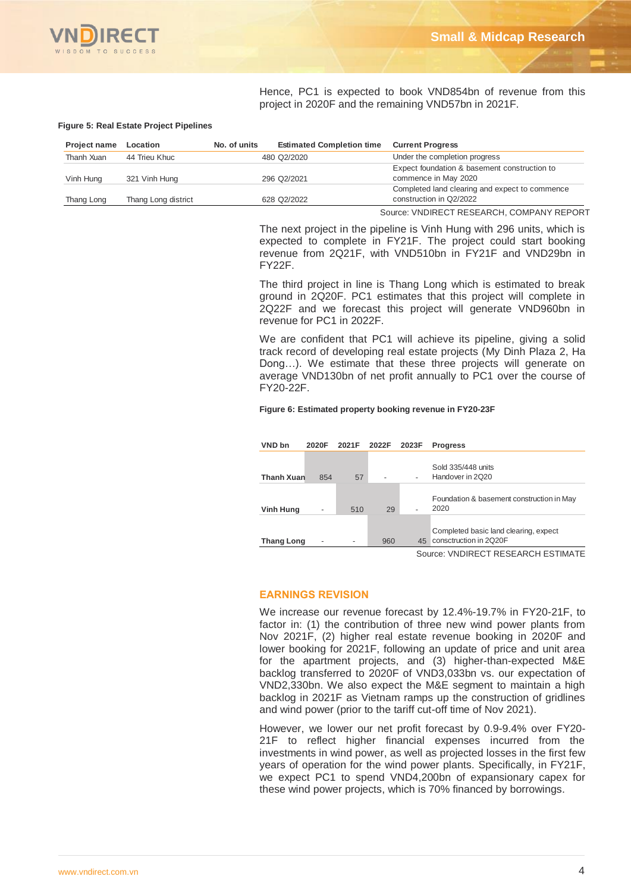

Hence, PC1 is expected to book VND854bn of revenue from this project in 2020F and the remaining VND57bn in 2021F.

#### **Figure 5: Real Estate Project Pipelines**

| <b>Project name</b> | Location            | No. of units | <b>Estimated Completion time</b> | <b>Current Progress</b>                        |
|---------------------|---------------------|--------------|----------------------------------|------------------------------------------------|
| Thanh Xuan          | 44 Trieu Khuc       |              | 480 Q2/2020                      | Under the completion progress                  |
|                     |                     |              |                                  | Expect foundation & basement construction to   |
| Vinh Hung           | 321 Vinh Hung       |              | 296 Q2/2021                      | commence in May 2020                           |
|                     |                     |              |                                  | Completed land clearing and expect to commence |
| Thang Long          | Thang Long district |              | 628 Q2/2022                      | construction in Q2/2022                        |

Source: VNDIRECT RESEARCH, COMPANY REPORT

The next project in the pipeline is Vinh Hung with 296 units, which is expected to complete in FY21F. The project could start booking revenue from 2Q21F, with VND510bn in FY21F and VND29bn in FY22F.

The third project in line is Thang Long which is estimated to break ground in 2Q20F. PC1 estimates that this project will complete in 2Q22F and we forecast this project will generate VND960bn in revenue for PC1 in 2022F.

We are confident that PC1 will achieve its pipeline, giving a solid track record of developing real estate projects (My Dinh Plaza 2, Ha Dong…). We estimate that these three projects will generate on average VND130bn of net profit annually to PC1 over the course of FY20-22F.

#### **Figure 6: Estimated property booking revenue in FY20-23F**

| VND bn            | 2020F | 2021F | 2022F | 2023F  | <b>Progress</b>                                                 |
|-------------------|-------|-------|-------|--------|-----------------------------------------------------------------|
| <b>Thanh Xuan</b> | 854   | 57    |       |        | Sold 335/448 units<br>Handover in 2Q20                          |
| Vinh Hung         | ٠     | 510   | 29    |        | Foundation & basement construction in May<br>2020               |
| <b>Thang Long</b> |       |       | 960   | 45     | Completed basic land clearing, expect<br>consctruction in 2Q20F |
|                   |       |       |       | $\sim$ |                                                                 |

Source: VNDIRECT RESEARCH ESTIMATE

## **EARNINGS REVISION**

We increase our revenue forecast by 12.4%-19.7% in FY20-21F, to factor in: (1) the contribution of three new wind power plants from Nov 2021F, (2) higher real estate revenue booking in 2020F and lower booking for 2021F, following an update of price and unit area for the apartment projects, and (3) higher-than-expected M&E backlog transferred to 2020F of VND3,033bn vs. our expectation of VND2,330bn. We also expect the M&E segment to maintain a high backlog in 2021F as Vietnam ramps up the construction of gridlines and wind power (prior to the tariff cut-off time of Nov 2021).

However, we lower our net profit forecast by 0.9-9.4% over FY20- 21F to reflect higher financial expenses incurred from the investments in wind power, as well as projected losses in the first few years of operation for the wind power plants. Specifically, in FY21F, we expect PC1 to spend VND4,200bn of expansionary capex for these wind power projects, which is 70% financed by borrowings.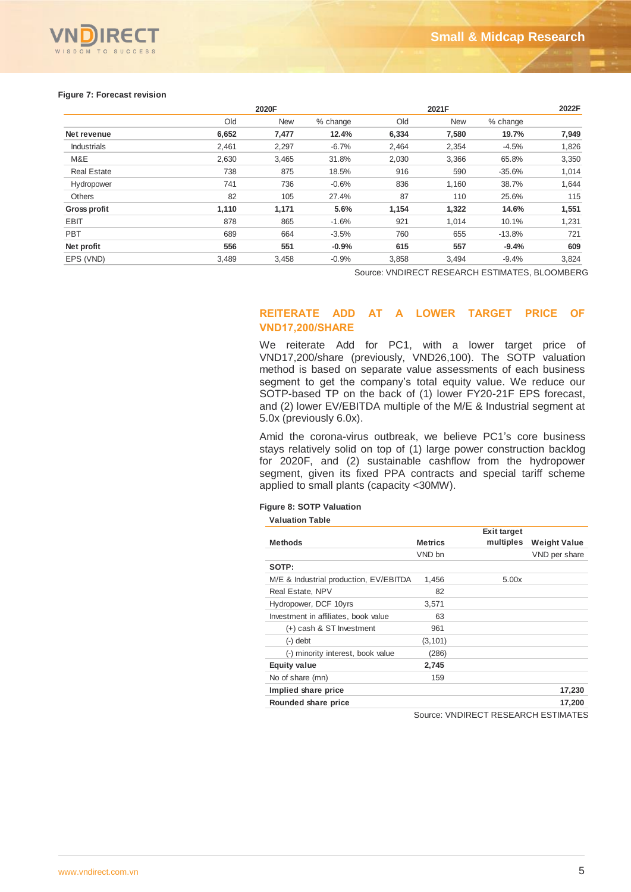

#### **Figure 7: Forecast revision**

|                     | 2020F |            |          |       | 2021F      |          |       |  |  |
|---------------------|-------|------------|----------|-------|------------|----------|-------|--|--|
|                     | Old   | <b>New</b> | % change | Old   | <b>New</b> | % change |       |  |  |
| Net revenue         | 6,652 | 7,477      | 12.4%    | 6,334 | 7,580      | 19.7%    | 7,949 |  |  |
| <b>Industrials</b>  | 2,461 | 2,297      | $-6.7%$  | 2,464 | 2,354      | $-4.5%$  | 1,826 |  |  |
| M&E                 | 2,630 | 3,465      | 31.8%    | 2,030 | 3,366      | 65.8%    | 3,350 |  |  |
| <b>Real Estate</b>  | 738   | 875        | 18.5%    | 916   | 590        | $-35.6%$ | 1,014 |  |  |
| Hydropower          | 741   | 736        | $-0.6%$  | 836   | 1,160      | 38.7%    | 1,644 |  |  |
| Others              | 82    | 105        | 27.4%    | 87    | 110        | 25.6%    | 115   |  |  |
| <b>Gross profit</b> | 1,110 | 1,171      | 5.6%     | 1,154 | 1,322      | 14.6%    | 1,551 |  |  |
| <b>EBIT</b>         | 878   | 865        | $-1.6%$  | 921   | 1,014      | 10.1%    | 1,231 |  |  |
| <b>PBT</b>          | 689   | 664        | $-3.5%$  | 760   | 655        | $-13.8%$ | 721   |  |  |
| Net profit          | 556   | 551        | $-0.9%$  | 615   | 557        | $-9.4%$  | 609   |  |  |
| EPS (VND)           | 3,489 | 3,458      | $-0.9%$  | 3,858 | 3,494      | $-9.4%$  | 3,824 |  |  |

Source: VNDIRECT RESEARCH ESTIMATES, BLOOMBERG

# **REITERATE ADD AT A LOWER TARGET PRICE OF VND17,200/SHARE**

We reiterate Add for PC1, with a lower target price of VND17,200/share (previously, VND26,100). The SOTP valuation method is based on separate value assessments of each business segment to get the company's total equity value. We reduce our SOTP-based TP on the back of (1) lower FY20-21F EPS forecast, and (2) lower EV/EBITDA multiple of the M/E & Industrial segment at 5.0x (previously 6.0x).

Amid the corona-virus outbreak, we believe PC1's core business stays relatively solid on top of (1) large power construction backlog for 2020F, and (2) sustainable cashflow from the hydropower segment, given its fixed PPA contracts and special tariff scheme applied to small plants (capacity <30MW).

## **Figure 8: SOTP Valuation**

| <b>Valuation Table</b>                 |                |                    |                     |
|----------------------------------------|----------------|--------------------|---------------------|
|                                        |                | <b>Exit target</b> |                     |
| <b>Methods</b>                         | <b>Metrics</b> | multiples          | <b>Weight Value</b> |
|                                        | VND bn         |                    | VND per share       |
| SOTP:                                  |                |                    |                     |
| M/E & Industrial production, EV/EBITDA | 1,456          | 5.00x              |                     |
| Real Estate, NPV                       | 82             |                    |                     |
| Hydropower, DCF 10yrs                  | 3,571          |                    |                     |
| Investment in affiliates, book value   | 63             |                    |                     |
| (+) cash & ST Investment               | 961            |                    |                     |
| $(-)$ debt                             | (3, 101)       |                    |                     |
| (-) minority interest, book value      | (286)          |                    |                     |
| <b>Equity value</b>                    | 2,745          |                    |                     |
| No of share (mn)                       | 159            |                    |                     |
| Implied share price                    |                |                    | 17,230              |
| Rounded share price                    |                |                    | 17,200              |

Source: VNDIRECT RESEARCH ESTIMATES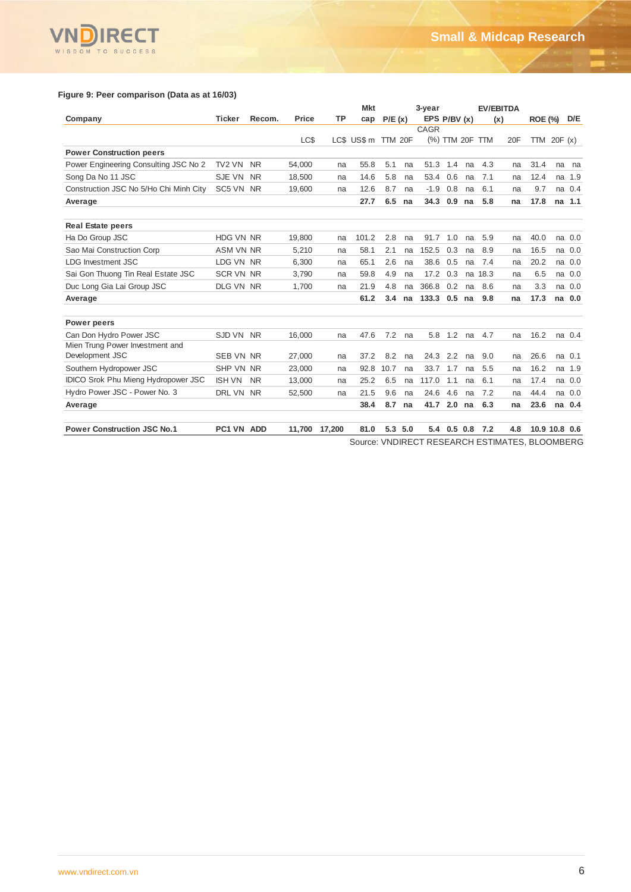

# **Figure 9: Peer comparison (Data as at 16/03)**

|                                            |                  |           |        |           | <b>Mkt</b>                                     |        |          | 3-year       |                 |    |      | <b>EV/EBITDA</b> |                |               |          |
|--------------------------------------------|------------------|-----------|--------|-----------|------------------------------------------------|--------|----------|--------------|-----------------|----|------|------------------|----------------|---------------|----------|
| Company                                    | <b>Ticker</b>    | Recom.    | Price  | <b>TP</b> | cap                                            | P/E(x) |          | EPS P/BV (x) |                 |    |      | (x)              | <b>ROE (%)</b> |               | D/E      |
|                                            |                  |           |        |           |                                                |        |          | CAGR         |                 |    |      |                  |                |               |          |
|                                            |                  |           | LC\$   |           | LC\$ US\$ m TTM 20F                            |        |          |              | (%) TTM 20F TTM |    |      | 20F              |                | TTM $20F(x)$  |          |
| <b>Power Construction peers</b>            |                  |           |        |           |                                                |        |          |              |                 |    |      |                  |                |               |          |
| Power Engineering Consulting JSC No 2      | TV2 VN           | <b>NR</b> | 54.000 | na        | 55.8                                           | 5.1    | na       | 51.3         | 1.4             | na | 4.3  | na               | 31.4           | na            | na       |
| Song Da No 11 JSC                          | SJE VN           | <b>NR</b> | 18.500 | na        | 14.6                                           | 5.8    | na       | 53.4         | 0.6             | na | 7.1  | na               | 12.4           | na            | 1.9      |
| Construction JSC No 5/Ho Chi Minh City     | SC5 VN NR        |           | 19.600 | na        | 12.6                                           | 8.7    | na       | $-1.9$       | 0.8             | na | 6.1  | na               | 9.7            |               | na 0.4   |
| Average                                    |                  |           |        |           | 27.7                                           | 6.5    | na       | 34.3         | 0.9             | na | 5.8  | na               | 17.8           |               | na 1.1   |
|                                            |                  |           |        |           |                                                |        |          |              |                 |    |      |                  |                |               |          |
| <b>Real Estate peers</b>                   |                  |           |        |           |                                                |        |          |              |                 |    |      |                  |                |               |          |
| Ha Do Group JSC                            | HDG VN NR        |           | 19.800 | na        | 101.2                                          | 2.8    | na       | 91.7         | 1.0             | na | 5.9  | na               | 40.0           |               | na 0.0   |
| Sao Mai Construction Corp                  | <b>ASM VN NR</b> |           | 5,210  | na        | 58.1                                           | 2.1    | na       | 152.5        | 0.3             | na | 8.9  | na               | 16.5           |               | na 0.0   |
| <b>LDG Investment JSC</b>                  | LDG VN NR        |           | 6,300  | na        | 65.1                                           | 2.6    | na       | 38.6         | 0.5             | na | 7.4  | na               | 20.2           |               | na 0.0   |
| Sai Gon Thuong Tin Real Estate JSC         | <b>SCR VN NR</b> |           | 3.790  | na        | 59.8                                           | 4.9    | na       | 17.2         | 0.3             | na | 18.3 | na               | 6.5            |               | na 0.0   |
| Duc Long Gia Lai Group JSC                 | DLG VN NR        |           | 1,700  | na        | 21.9                                           | 4.8    | na       | 366.8        | 0.2             | na | 8.6  | na               | 3.3            |               | $na$ 0.0 |
| Average                                    |                  |           |        |           | 61.2                                           | 3.4    | na       | 133.3        | 0.5             | na | 9.8  | na               | 17.3           |               | na 0.0   |
|                                            |                  |           |        |           |                                                |        |          |              |                 |    |      |                  |                |               |          |
| Power peers                                |                  |           |        |           |                                                |        |          |              |                 |    |      |                  |                |               |          |
| Can Don Hydro Power JSC                    | SJD VN NR        |           | 16.000 | na        | 47.6                                           | 7.2    | na       | 5.8          | 1.2             | na | 4.7  | na               | 16.2           |               | na 0.4   |
| Mien Trung Power Investment and            |                  |           |        |           |                                                |        |          |              |                 |    |      |                  |                |               |          |
| Development JSC                            | <b>SEB VN NR</b> |           | 27,000 | na        | 37.2                                           | 8.2    | na       | 24.3         | 2.2             | na | 9.0  | na               | 26.6           |               | na 0.1   |
| Southern Hydropower JSC                    | SHP VN NR        |           | 23,000 | na        | 92.8                                           | 10.7   | na       | 33.7         | 1.7             | na | 5.5  | na               | 16.2           | na            | 1.9      |
| <b>IDICO Srok Phu Mieng Hydropower JSC</b> | <b>ISH VN</b>    | <b>NR</b> | 13,000 | na        | 25.2                                           | 6.5    | na       | 117.0        | 1.1             | na | 6.1  | na               | 17.4           |               | na 0.0   |
| Hydro Power JSC - Power No. 3              | DRL VN NR        |           | 52.500 | na        | 21.5                                           | 9.6    | na       | 24.6         | 4.6             | na | 7.2  | na               | 44.4           |               | na 0.0   |
| Average                                    |                  |           |        |           | 38.4                                           | 8.7    | na       | 41.7         | 2.0             | na | 6.3  | na               | 23.6           |               | na 0.4   |
|                                            |                  |           |        |           |                                                |        |          |              |                 |    |      |                  |                |               |          |
| <b>Power Construction JSC No.1</b>         | PC1 VN ADD       |           | 11,700 | 17.200    | 81.0                                           |        | 5.3, 5.0 |              | 5.4 0.5 0.8 7.2 |    |      | 4.8              |                | 10.9 10.8 0.6 |          |
|                                            |                  |           |        |           | Source: VNDIRECT RESEARCH ESTIMATES, BLOOMBERG |        |          |              |                 |    |      |                  |                |               |          |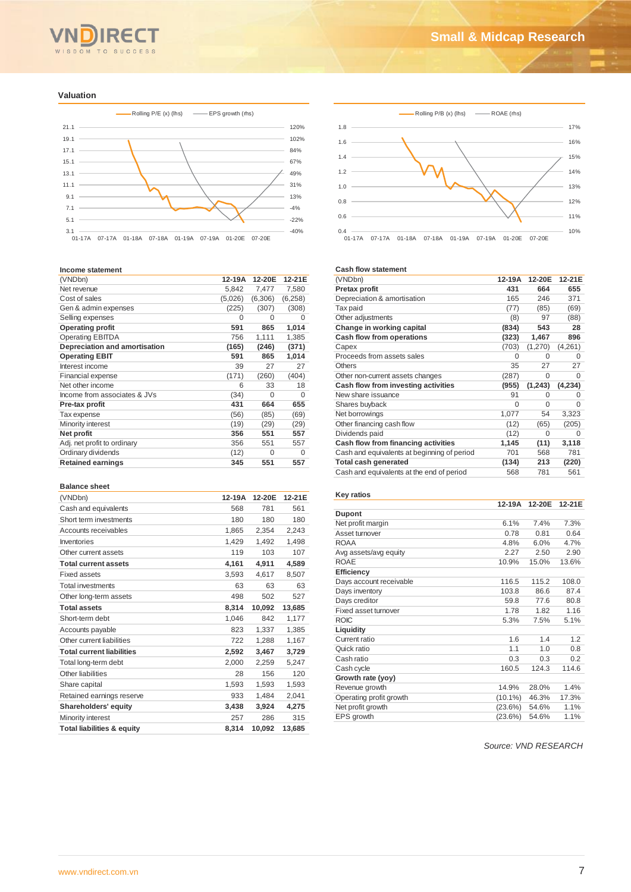

#### **Valuation**



#### **Income statement**

| וווטטוווס אנמנסוווסוונ        |         |          |          |
|-------------------------------|---------|----------|----------|
| (VNDbn)                       | 12-19A  | 12-20E   | 12-21E   |
| Net revenue                   | 5,842   | 7,477    | 7,580    |
| Cost of sales                 | (5,026) | (6,306)  | (6,258)  |
| Gen & admin expenses          | (225)   | (307)    | (308)    |
| Selling expenses              | 0       | 0        | 0        |
| <b>Operating profit</b>       | 591     | 865      | 1,014    |
| <b>Operating EBITDA</b>       | 756     | 1,111    | 1,385    |
| Depreciation and amortisation | (165)   | (246)    | (371)    |
| <b>Operating EBIT</b>         | 591     | 865      | 1,014    |
| Interest income               | 39      | 27       | 27       |
| <b>Financial expense</b>      | (171)   | (260)    | (404)    |
| Net other income              | 6       | 33       | 18       |
| Income from associates & JVs  | (34)    | $\Omega$ | $\Omega$ |
| Pre-tax profit                | 431     | 664      | 655      |
| Tax expense                   | (56)    | (85)     | (69)     |
| Minority interest             | (19)    | (29)     | (29)     |
| Net profit                    | 356     | 551      | 557      |
| Adj. net profit to ordinary   | 356     | 551      | 557      |
| Ordinary dividends            | (12)    | 0        | 0        |
| <b>Retained earnings</b>      | 345     | 551      | 557      |
|                               |         |          |          |

#### **Balance sheet**

| (VNDbn)                               | 12-19A | 12-20E | 12-21E |
|---------------------------------------|--------|--------|--------|
| Cash and equivalents                  | 568    | 781    | 561    |
| Short term investments                | 180    | 180    | 180    |
| Accounts receivables                  | 1,865  | 2,354  | 2,243  |
| Inventories                           | 1,429  | 1.492  | 1,498  |
| Other current assets                  | 119    | 103    | 107    |
| <b>Total current assets</b>           | 4,161  | 4,911  | 4,589  |
| <b>Fixed assets</b>                   | 3,593  | 4,617  | 8,507  |
| <b>Total investments</b>              | 63     | 63     | 63     |
| Other long-term assets                | 498    | 502    | 527    |
| <b>Total assets</b>                   | 8,314  | 10,092 | 13,685 |
| Short-term debt                       | 1,046  | 842    | 1,177  |
| Accounts payable                      | 823    | 1,337  | 1,385  |
| Other current liabilities             | 722    | 1,288  | 1,167  |
| <b>Total current liabilities</b>      | 2,592  | 3,467  | 3,729  |
| Total long-term debt                  | 2,000  | 2,259  | 5,247  |
| Other liabilities                     | 28     | 156    | 120    |
| Share capital                         | 1,593  | 1,593  | 1,593  |
| Retained earnings reserve             | 933    | 1.484  | 2,041  |
| Shareholders' equity                  | 3,438  | 3,924  | 4,275  |
| Minority interest                     | 257    | 286    | 315    |
| <b>Total liabilities &amp; equity</b> | 8,314  | 10,092 | 13,685 |



#### **Cash flow statement**

| (VNDbn)                                     | 12-19A   | 12-20E   | 12-21E   |
|---------------------------------------------|----------|----------|----------|
| Pretax profit                               | 431      | 664      | 655      |
| Depreciation & amortisation                 | 165      | 246      | 371      |
| Tax paid                                    | (77)     | (85)     | (69)     |
| Other adjustments                           | (8)      | 97       | (88)     |
| Change in working capital                   | (834)    | 543      | 28       |
| Cash flow from operations                   | (323)    | 1,467    | 896      |
| Capex                                       | (703)    | (1,270)  | (4,261)  |
| Proceeds from assets sales                  | $\Omega$ | 0        | $\Omega$ |
| Others                                      | 35       | 27       | 27       |
| Other non-current assets changes            | (287)    | 0        | 0        |
| Cash flow from investing activities         | (955)    | (1, 243) | (4,234)  |
| New share issuance                          | 91       | O        | 0        |
| Shares buyback                              | $\Omega$ | 0        | $\Omega$ |
| Net borrowings                              | 1,077    | 54       | 3,323    |
| Other financing cash flow                   | (12)     | (65)     | (205)    |
| Dividends paid                              | (12)     | $\Omega$ | $\Omega$ |
| Cash flow from financing activities         | 1,145    | (11)     | 3,118    |
| Cash and equivalents at beginning of period | 701      | 568      | 781      |
| <b>Total cash generated</b>                 | (134)    | 213      | (220)    |
| Cash and equivalents at the end of period   | 568      | 781      | 561      |
|                                             |          |          |          |

## **Key ratios**

|                         | 12-19A     | 12-20E | 12-21E |
|-------------------------|------------|--------|--------|
| <b>Dupont</b>           |            |        |        |
| Net profit margin       | 6.1%       | 7.4%   | 7.3%   |
| Asset turnover          | 0.78       | 0.81   | 0.64   |
| <b>ROAA</b>             | 4.8%       | 6.0%   | 4.7%   |
| Avg assets/avg equity   | 2.27       | 2.50   | 2.90   |
| <b>ROAE</b>             | 10.9%      | 15.0%  | 13.6%  |
| <b>Efficiency</b>       |            |        |        |
| Days account receivable | 116.5      | 115.2  | 108.0  |
| Days inventory          | 103.8      | 86.6   | 87.4   |
| Days creditor           | 59.8       | 77.6   | 80.8   |
| Fixed asset turnover    | 1.78       | 1.82   | 1.16   |
| <b>ROIC</b>             | 5.3%       | 7.5%   | 5.1%   |
| Liquidity               |            |        |        |
| Current ratio           | 1.6        | 1.4    | 1.2    |
| Quick ratio             | 1.1        | 1.0    | 0.8    |
| Cash ratio              | 0.3        | 0.3    | 0.2    |
| Cash cycle              | 160.5      | 124.3  | 114.6  |
| Growth rate (yoy)       |            |        |        |
| Revenue growth          | 14.9%      | 28.0%  | 1.4%   |
| Operating profit growth | $(10.1\%)$ | 46.3%  | 17.3%  |
| Net profit growth       | (23.6%)    | 54.6%  | 1.1%   |
| EPS growth              | (23.6%)    | 54.6%  | 1.1%   |

*Source: VND RESEARCH*